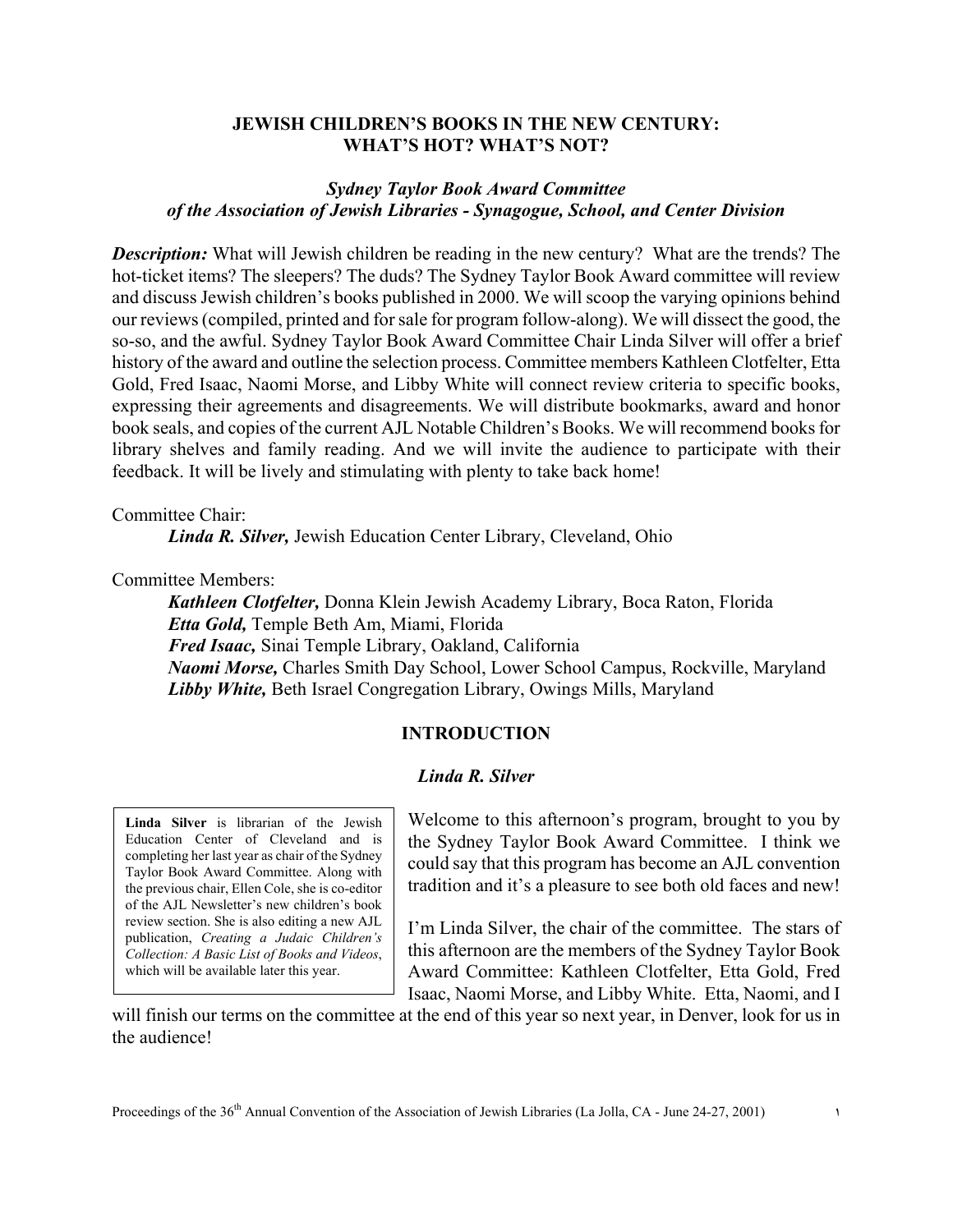### **JEWISH CHILDREN'S BOOKS IN THE NEW CENTURY: WHAT'S HOT? WHAT'S NOT?**

## *Sydney Taylor Book Award Committee of the Association of Jewish Libraries - Synagogue, School, and Center Division*

**Description:** What will Jewish children be reading in the new century? What are the trends? The hot-ticket items? The sleepers? The duds? The Sydney Taylor Book Award committee will review and discuss Jewish children's books published in 2000. We will scoop the varying opinions behind our reviews (compiled, printed and for sale for program follow-along). We will dissect the good, the so-so, and the awful. Sydney Taylor Book Award Committee Chair Linda Silver will offer a brief history of the award and outline the selection process. Committee members Kathleen Clotfelter, Etta Gold, Fred Isaac, Naomi Morse, and Libby White will connect review criteria to specific books, expressing their agreements and disagreements. We will distribute bookmarks, award and honor book seals, and copies of the current AJL Notable Children's Books. We will recommend books for library shelves and family reading. And we will invite the audience to participate with their feedback. It will be lively and stimulating with plenty to take back home!

Committee Chair:

*Linda R. Silver,* Jewish Education Center Library, Cleveland, Ohio

Committee Members:

*Kathleen Clotfelter,* Donna Klein Jewish Academy Library, Boca Raton, Florida *Etta Gold,* Temple Beth Am, Miami, Florida *Fred Isaac,* Sinai Temple Library, Oakland, California *Naomi Morse,* Charles Smith Day School, Lower School Campus, Rockville, Maryland *Libby White,* Beth Israel Congregation Library, Owings Mills, Maryland

### **INTRODUCTION**

### *Linda R. Silver*

**Linda Silver** is librarian of the Jewish Education Center of Cleveland and is completing her last year as chair of the Sydney Taylor Book Award Committee. Along with the previous chair, Ellen Cole, she is co-editor of the AJL Newsletter's new children's book review section. She is also editing a new AJL publication, *Creating a Judaic Children's Collection: A Basic List of Books and Videos*, which will be available later this year.

Welcome to this afternoon's program, brought to you by the Sydney Taylor Book Award Committee. I think we could say that this program has become an AJL convention tradition and it's a pleasure to see both old faces and new!

I'm Linda Silver, the chair of the committee. The stars of this afternoon are the members of the Sydney Taylor Book Award Committee: Kathleen Clotfelter, Etta Gold, Fred Isaac, Naomi Morse, and Libby White. Etta, Naomi, and I

will finish our terms on the committee at the end of this year so next year, in Denver, look for us in the audience!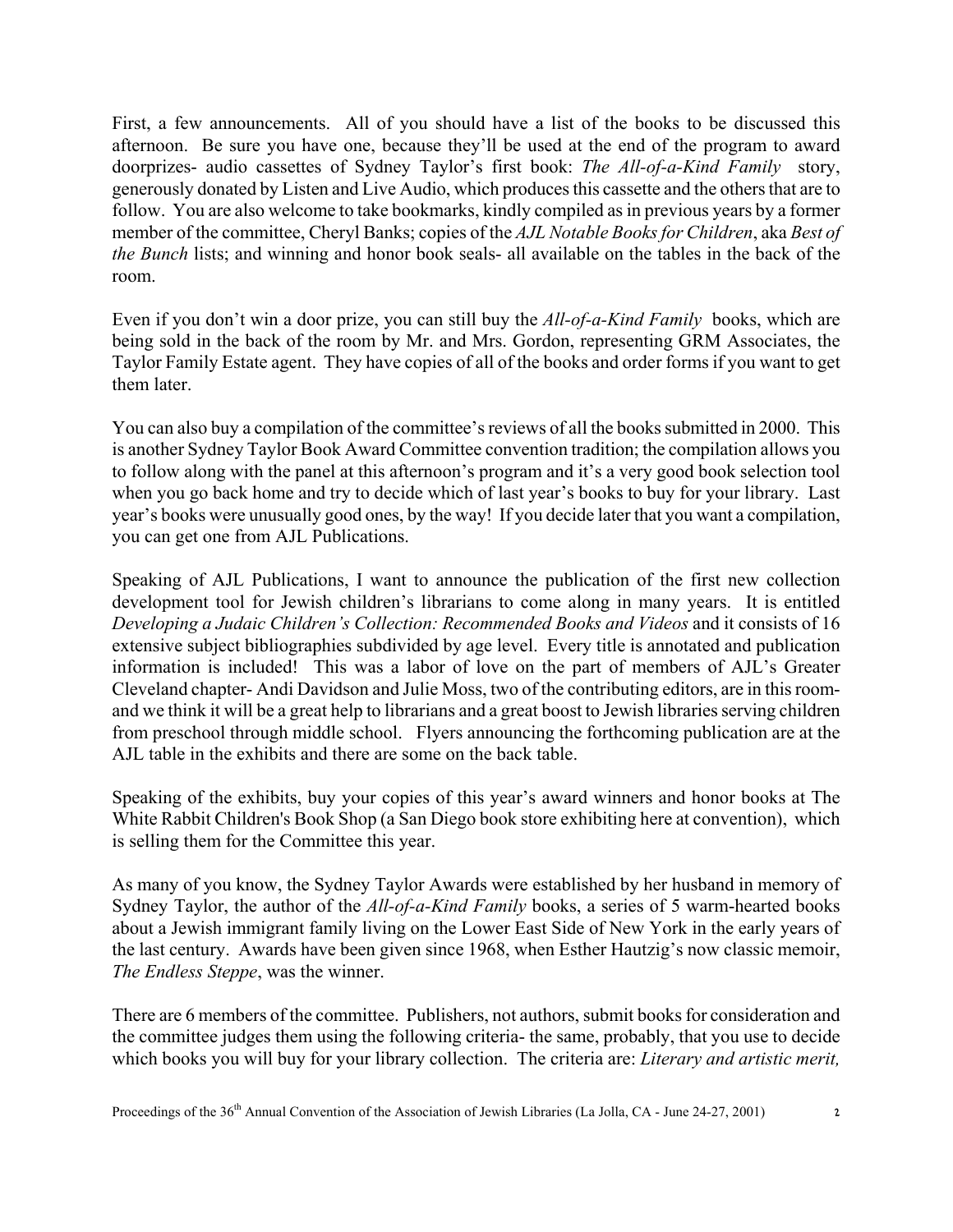First, a few announcements. All of you should have a list of the books to be discussed this afternoon. Be sure you have one, because they'll be used at the end of the program to award doorprizes- audio cassettes of Sydney Taylor's first book: *The All-of-a-Kind Family* story, generously donated by Listen and Live Audio, which produces this cassette and the others that are to follow. You are also welcome to take bookmarks, kindly compiled as in previous years by a former member of the committee, Cheryl Banks; copies of the *AJL Notable Books for Children*, aka *Best of the Bunch* lists; and winning and honor book seals- all available on the tables in the back of the room.

Even if you don't win a door prize, you can still buy the *All-of-a-Kind Family* books, which are being sold in the back of the room by Mr. and Mrs. Gordon, representing GRM Associates, the Taylor Family Estate agent. They have copies of all of the books and order forms if you want to get them later.

You can also buy a compilation of the committee's reviews of all the books submitted in 2000. This is another Sydney Taylor Book Award Committee convention tradition; the compilation allows you to follow along with the panel at this afternoon's program and it's a very good book selection tool when you go back home and try to decide which of last year's books to buy for your library. Last year's books were unusually good ones, by the way! If you decide later that you want a compilation, you can get one from AJL Publications.

Speaking of AJL Publications, I want to announce the publication of the first new collection development tool for Jewish children's librarians to come along in many years. It is entitled *Developing a Judaic Children's Collection: Recommended Books and Videos* and it consists of 16 extensive subject bibliographies subdivided by age level. Every title is annotated and publication information is included! This was a labor of love on the part of members of AJL's Greater Cleveland chapter- Andi Davidson and Julie Moss, two of the contributing editors, are in this roomand we think it will be a great help to librarians and a great boost to Jewish libraries serving children from preschool through middle school. Flyers announcing the forthcoming publication are at the AJL table in the exhibits and there are some on the back table.

Speaking of the exhibits, buy your copies of this year's award winners and honor books at The White Rabbit Children's Book Shop (a San Diego book store exhibiting here at convention), which is selling them for the Committee this year.

As many of you know, the Sydney Taylor Awards were established by her husband in memory of Sydney Taylor, the author of the *All-of-a-Kind Family* books, a series of 5 warm-hearted books about a Jewish immigrant family living on the Lower East Side of New York in the early years of the last century. Awards have been given since 1968, when Esther Hautzig's now classic memoir, *The Endless Steppe*, was the winner.

There are 6 members of the committee. Publishers, not authors, submit books for consideration and the committee judges them using the following criteria- the same, probably, that you use to decide which books you will buy for your library collection. The criteria are: *Literary and artistic merit,*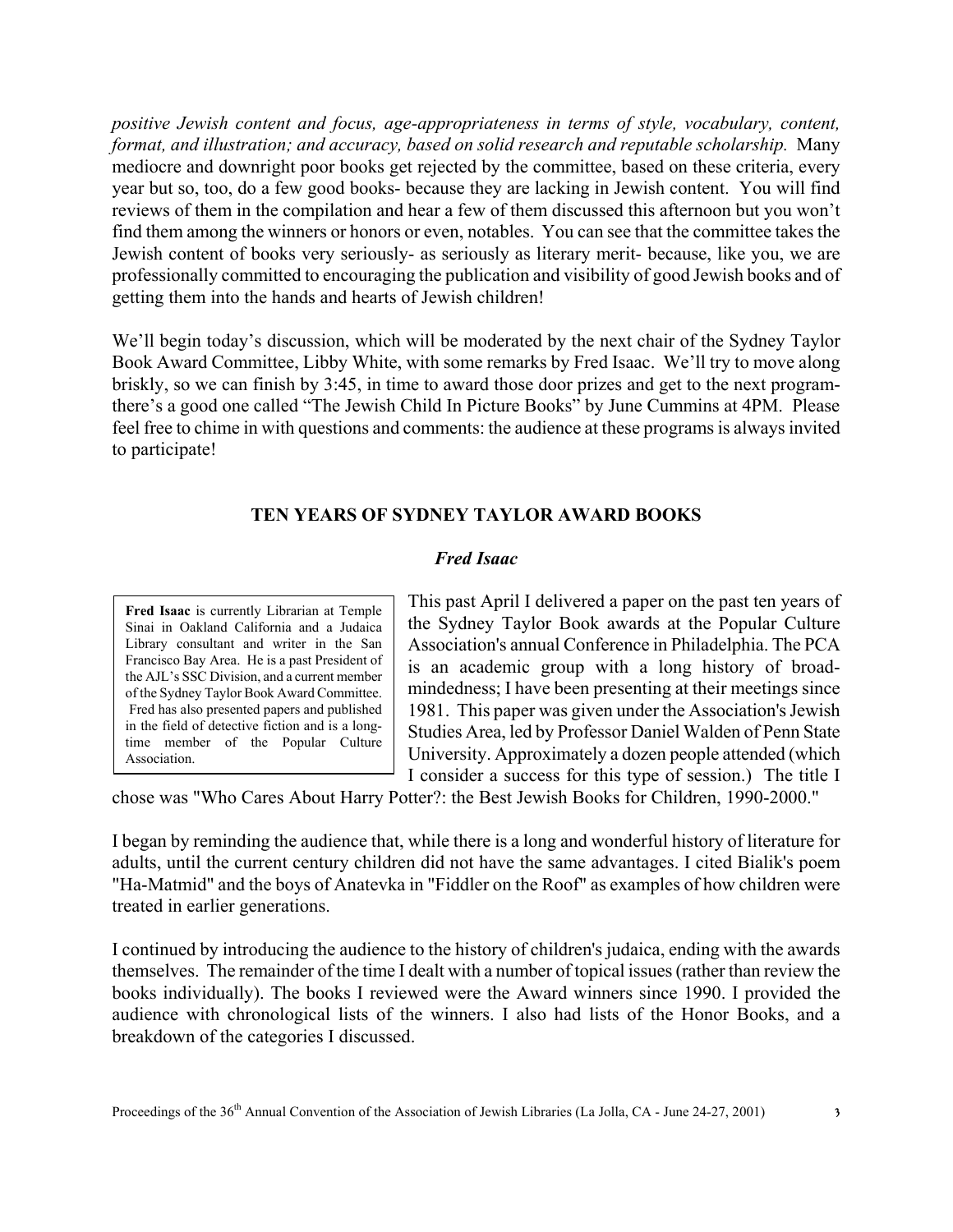*positive Jewish content and focus, age-appropriateness in terms of style, vocabulary, content, format, and illustration; and accuracy, based on solid research and reputable scholarship.* Many mediocre and downright poor books get rejected by the committee, based on these criteria, every year but so, too, do a few good books- because they are lacking in Jewish content. You will find reviews of them in the compilation and hear a few of them discussed this afternoon but you won't find them among the winners or honors or even, notables. You can see that the committee takes the Jewish content of books very seriously- as seriously as literary merit- because, like you, we are professionally committed to encouraging the publication and visibility of good Jewish books and of getting them into the hands and hearts of Jewish children!

We'll begin today's discussion, which will be moderated by the next chair of the Sydney Taylor Book Award Committee, Libby White, with some remarks by Fred Isaac. We'll try to move along briskly, so we can finish by 3:45, in time to award those door prizes and get to the next programthere's a good one called "The Jewish Child In Picture Books" by June Cummins at 4PM. Please feel free to chime in with questions and comments: the audience at these programs is always invited to participate!

### **TEN YEARS OF SYDNEY TAYLOR AWARD BOOKS**

#### *Fred Isaac*

**Fred Isaac** is currently Librarian at Temple Sinai in Oakland California and a Judaica Library consultant and writer in the San Francisco Bay Area. He is a past President of the AJL's SSC Division, and a current member of the Sydney Taylor Book Award Committee. Fred has also presented papers and published in the field of detective fiction and is a longtime member of the Popular Culture Association.

This past April I delivered a paper on the past ten years of the Sydney Taylor Book awards at the Popular Culture Association's annual Conference in Philadelphia. The PCA is an academic group with a long history of broadmindedness; I have been presenting at their meetings since 1981. This paper was given under the Association's Jewish Studies Area, led by Professor Daniel Walden of Penn State University. Approximately a dozen people attended (which I consider a success for this type of session.) The title I

chose was "Who Cares About Harry Potter?: the Best Jewish Books for Children, 1990-2000."

I began by reminding the audience that, while there is a long and wonderful history of literature for adults, until the current century children did not have the same advantages. I cited Bialik's poem "Ha-Matmid" and the boys of Anatevka in "Fiddler on the Roof" as examples of how children were treated in earlier generations.

I continued by introducing the audience to the history of children's judaica, ending with the awards themselves. The remainder of the time I dealt with a number of topical issues (rather than review the books individually). The books I reviewed were the Award winners since 1990. I provided the audience with chronological lists of the winners. I also had lists of the Honor Books, and a breakdown of the categories I discussed.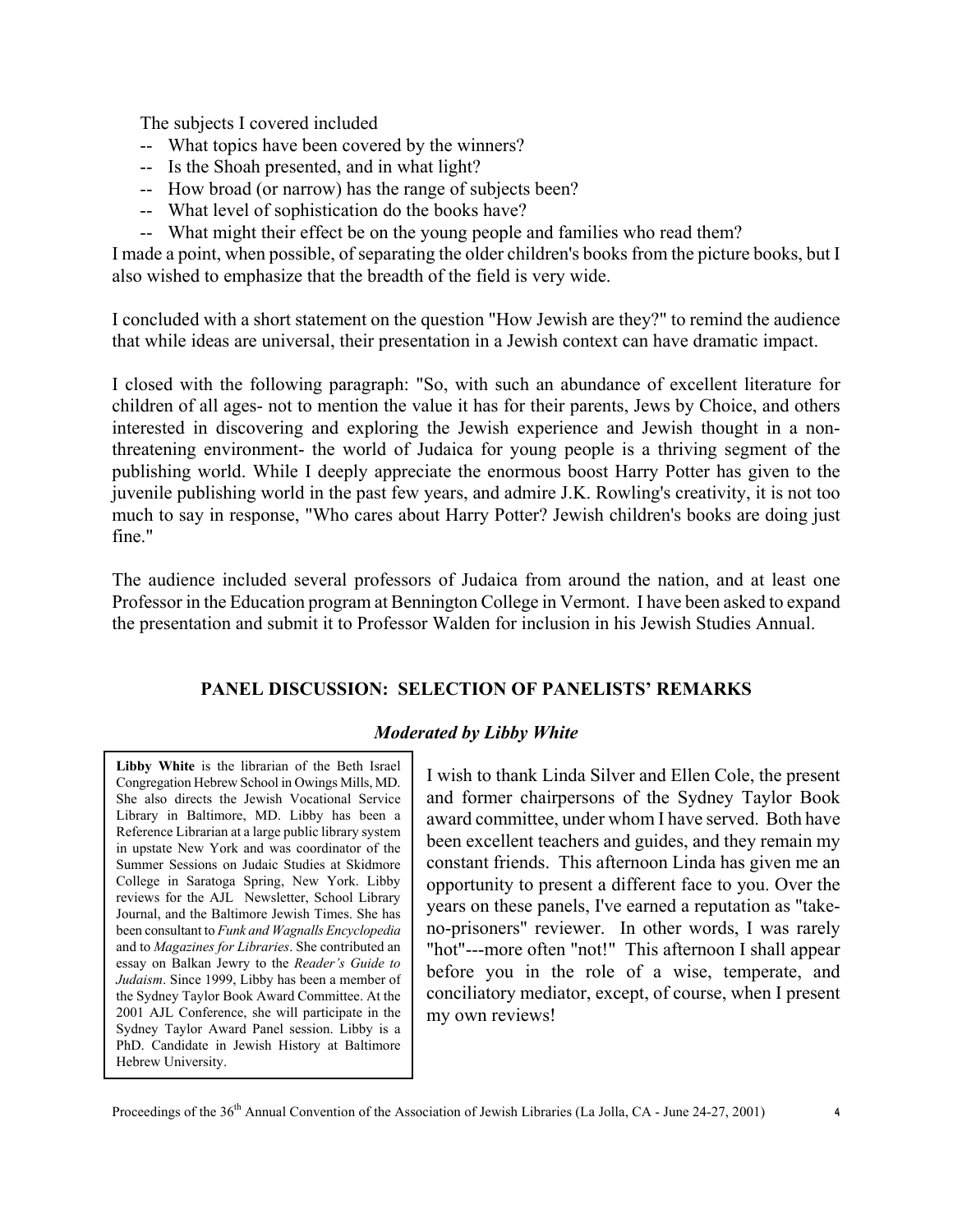The subjects I covered included

- -- What topics have been covered by the winners?
- -- Is the Shoah presented, and in what light?
- -- How broad (or narrow) has the range of subjects been?
- -- What level of sophistication do the books have?
- -- What might their effect be on the young people and families who read them?

I made a point, when possible, of separating the older children's books from the picture books, but I also wished to emphasize that the breadth of the field is very wide.

I concluded with a short statement on the question "How Jewish are they?" to remind the audience that while ideas are universal, their presentation in a Jewish context can have dramatic impact.

I closed with the following paragraph: "So, with such an abundance of excellent literature for children of all ages- not to mention the value it has for their parents, Jews by Choice, and others interested in discovering and exploring the Jewish experience and Jewish thought in a nonthreatening environment- the world of Judaica for young people is a thriving segment of the publishing world. While I deeply appreciate the enormous boost Harry Potter has given to the juvenile publishing world in the past few years, and admire J.K. Rowling's creativity, it is not too much to say in response, "Who cares about Harry Potter? Jewish children's books are doing just fine."

The audience included several professors of Judaica from around the nation, and at least one Professor in the Education program at Bennington College in Vermont. I have been asked to expand the presentation and submit it to Professor Walden for inclusion in his Jewish Studies Annual.

## **PANEL DISCUSSION: SELECTION OF PANELISTS' REMARKS**

## *Moderated by Libby White*

**Libby White** is the librarian of the Beth Israel Congregation Hebrew School in Owings Mills, MD. She also directs the Jewish Vocational Service Library in Baltimore, MD. Libby has been a Reference Librarian at a large public library system in upstate New York and was coordinator of the Summer Sessions on Judaic Studies at Skidmore College in Saratoga Spring, New York. Libby reviews for the AJL Newsletter, School Library Journal, and the Baltimore Jewish Times. She has been consultant to *Funk and Wagnalls Encyclopedia* and to *Magazines for Libraries*. She contributed an essay on Balkan Jewry to the *Reader's Guide to Judaism*. Since 1999, Libby has been a member of the Sydney Taylor Book Award Committee. At the 2001 AJL Conference, she will participate in the Sydney Taylor Award Panel session. Libby is a PhD. Candidate in Jewish History at Baltimore Hebrew University.

I wish to thank Linda Silver and Ellen Cole, the present and former chairpersons of the Sydney Taylor Book award committee, under whom I have served. Both have been excellent teachers and guides, and they remain my constant friends. This afternoon Linda has given me an opportunity to present a different face to you. Over the years on these panels, I've earned a reputation as "takeno-prisoners" reviewer. In other words, I was rarely "hot"---more often "not!" This afternoon I shall appear before you in the role of a wise, temperate, and conciliatory mediator, except, of course, when I present my own reviews!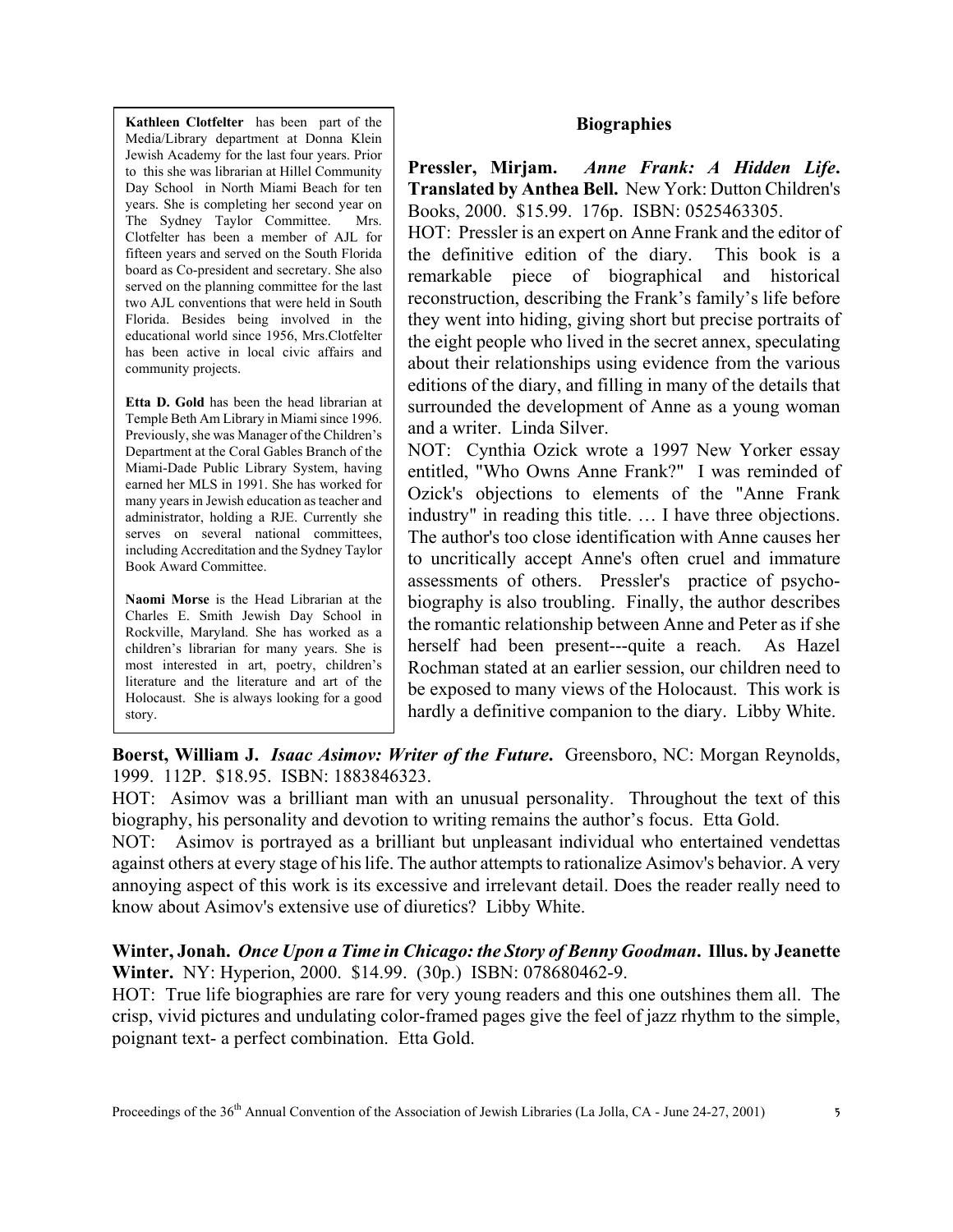**Biographies**

**Pressler, Mirjam.** *Anne Frank: A Hidden Life***. Translated by Anthea Bell.** New York: Dutton Children's Books, 2000. \$15.99. 176p. ISBN: 0525463305.

HOT: Pressler is an expert on Anne Frank and the editor of the definitive edition of the diary. This book is a remarkable piece of biographical and historical reconstruction, describing the Frank's family's life before they went into hiding, giving short but precise portraits of the eight people who lived in the secret annex, speculating about their relationships using evidence from the various editions of the diary, and filling in many of the details that surrounded the development of Anne as a young woman and a writer. Linda Silver.

NOT: Cynthia Ozick wrote a 1997 New Yorker essay entitled, "Who Owns Anne Frank?" I was reminded of Ozick's objections to elements of the "Anne Frank industry" in reading this title. … I have three objections. The author's too close identification with Anne causes her to uncritically accept Anne's often cruel and immature assessments of others. Pressler's practice of psychobiography is also troubling. Finally, the author describes the romantic relationship between Anne and Peter as if she herself had been present---quite a reach. As Hazel Rochman stated at an earlier session, our children need to be exposed to many views of the Holocaust. This work is hardly a definitive companion to the diary. Libby White.

**Boerst, William J.** *Isaac Asimov: Writer of the Future***.** Greensboro, NC: Morgan Reynolds, 1999. 112P. \$18.95. ISBN: 1883846323.

**Kathleen Clotfelter** has been part of the Media/Library department at Donna Klein Jewish Academy for the last four years. Prior to this she was librarian at Hillel Community Day School in North Miami Beach for ten years. She is completing her second year on The Sydney Taylor Committee. Mrs. Clotfelter has been a member of AJL for fifteen years and served on the South Florida board as Co-president and secretary. She also served on the planning committee for the last two AJL conventions that were held in South Florida. Besides being involved in the educational world since 1956, Mrs.Clotfelter has been active in local civic affairs and

**Etta D. Gold** has been the head librarian at Temple Beth Am Library in Miami since 1996. Previously, she was Manager of the Children's Department at the Coral Gables Branch of the Miami-Dade Public Library System, having earned her MLS in 1991. She has worked for many years in Jewish education as teacher and administrator, holding a RJE. Currently she serves on several national committees, including Accreditation and the Sydney Taylor

**Naomi Morse** is the Head Librarian at the Charles E. Smith Jewish Day School in Rockville, Maryland. She has worked as a children's librarian for many years. She is most interested in art, poetry, children's literature and the literature and art of the Holocaust. She is always looking for a good

community projects.

Book Award Committee.

story.

HOT: Asimov was a brilliant man with an unusual personality. Throughout the text of this biography, his personality and devotion to writing remains the author's focus. Etta Gold.

NOT: Asimov is portrayed as a brilliant but unpleasant individual who entertained vendettas against others at every stage of his life. The author attempts to rationalize Asimov's behavior. A very annoying aspect of this work is its excessive and irrelevant detail. Does the reader really need to know about Asimov's extensive use of diuretics? Libby White.

### **Winter, Jonah.** *Once Upon a Time in Chicago: the Story of Benny Goodman***. Illus. by Jeanette Winter.** NY: Hyperion, 2000. \$14.99. (30p.) ISBN: 078680462-9.

HOT: True life biographies are rare for very young readers and this one outshines them all. The crisp, vivid pictures and undulating color-framed pages give the feel of jazz rhythm to the simple, poignant text- a perfect combination. Etta Gold.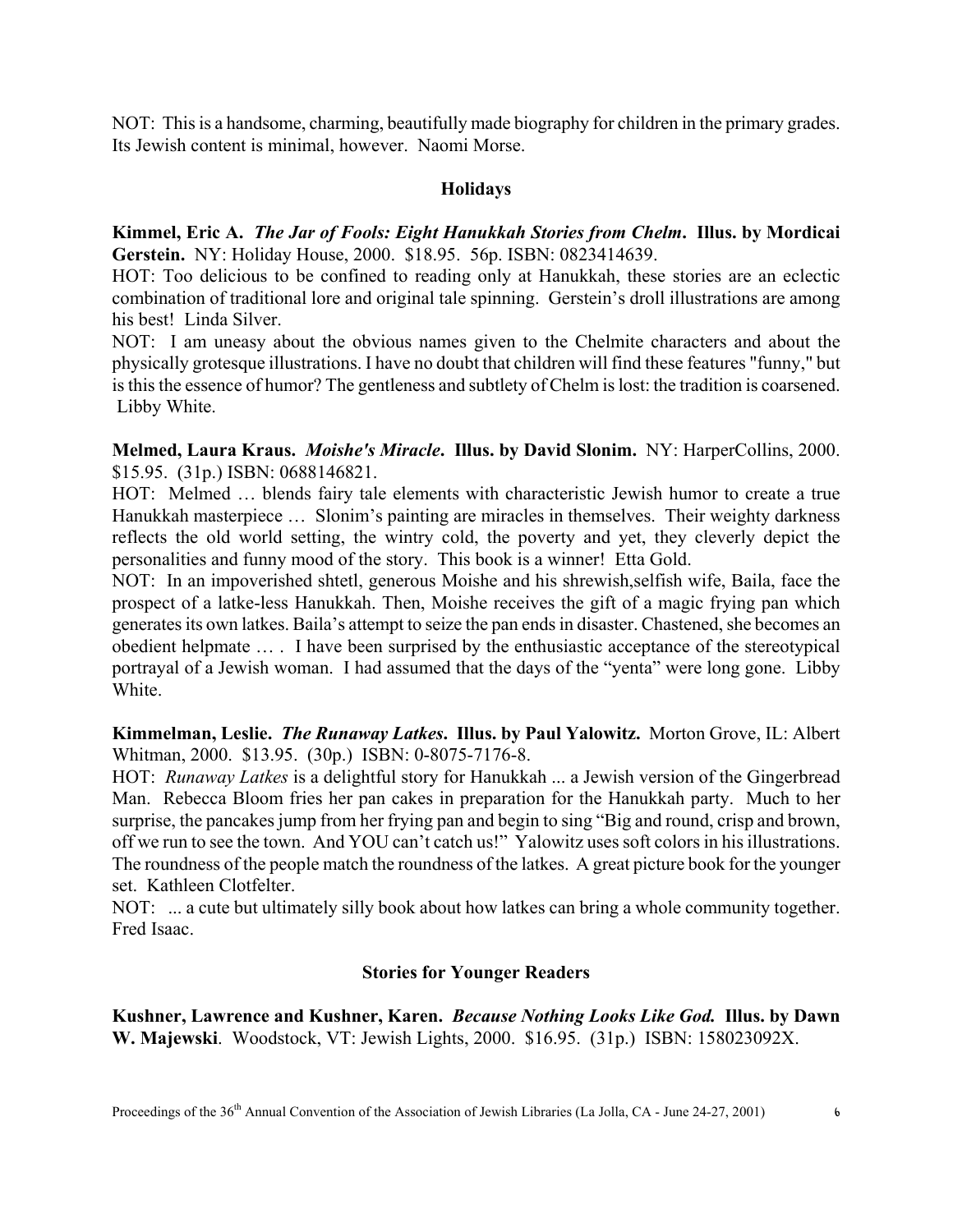NOT: This is a handsome, charming, beautifully made biography for children in the primary grades. Its Jewish content is minimal, however. Naomi Morse.

## **Holidays**

**Kimmel, Eric A.** *The Jar of Fools: Eight Hanukkah Stories from Chelm***. Illus. by Mordicai Gerstein.** NY: Holiday House, 2000. \$18.95. 56p. ISBN: 0823414639.

HOT: Too delicious to be confined to reading only at Hanukkah, these stories are an eclectic combination of traditional lore and original tale spinning. Gerstein's droll illustrations are among his best! Linda Silver.

NOT: I am uneasy about the obvious names given to the Chelmite characters and about the physically grotesque illustrations. I have no doubt that children will find these features "funny," but is this the essence of humor? The gentleness and subtlety of Chelm is lost: the tradition is coarsened. Libby White.

**Melmed, Laura Kraus.** *Moishe's Miracle***. Illus. by David Slonim.** NY: HarperCollins, 2000. \$15.95. (31p.) ISBN: 0688146821.

HOT: Melmed … blends fairy tale elements with characteristic Jewish humor to create a true Hanukkah masterpiece … Slonim's painting are miracles in themselves. Their weighty darkness reflects the old world setting, the wintry cold, the poverty and yet, they cleverly depict the personalities and funny mood of the story. This book is a winner! Etta Gold.

NOT: In an impoverished shtetl, generous Moishe and his shrewish,selfish wife, Baila, face the prospect of a latke-less Hanukkah. Then, Moishe receives the gift of a magic frying pan which generates its own latkes. Baila's attempt to seize the pan ends in disaster. Chastened, she becomes an obedient helpmate … . I have been surprised by the enthusiastic acceptance of the stereotypical portrayal of a Jewish woman. I had assumed that the days of the "yenta" were long gone. Libby White.

**Kimmelman, Leslie.** *The Runaway Latkes***. Illus. by Paul Yalowitz.** Morton Grove, IL: Albert Whitman, 2000. \$13.95. (30p.) ISBN: 0-8075-7176-8.

HOT: *Runaway Latkes* is a delightful story for Hanukkah ... a Jewish version of the Gingerbread Man. Rebecca Bloom fries her pan cakes in preparation for the Hanukkah party. Much to her surprise, the pancakes jump from her frying pan and begin to sing "Big and round, crisp and brown, off we run to see the town. And YOU can't catch us!" Yalowitz uses soft colors in his illustrations. The roundness of the people match the roundness of the latkes. A great picture book for the younger set. Kathleen Clotfelter.

NOT: ... a cute but ultimately silly book about how latkes can bring a whole community together. Fred Isaac.

## **Stories for Younger Readers**

**Kushner, Lawrence and Kushner, Karen.** *Because Nothing Looks Like God.* **Illus. by Dawn W. Majewski**. Woodstock, VT: Jewish Lights, 2000. \$16.95. (31p.) ISBN: 158023092X.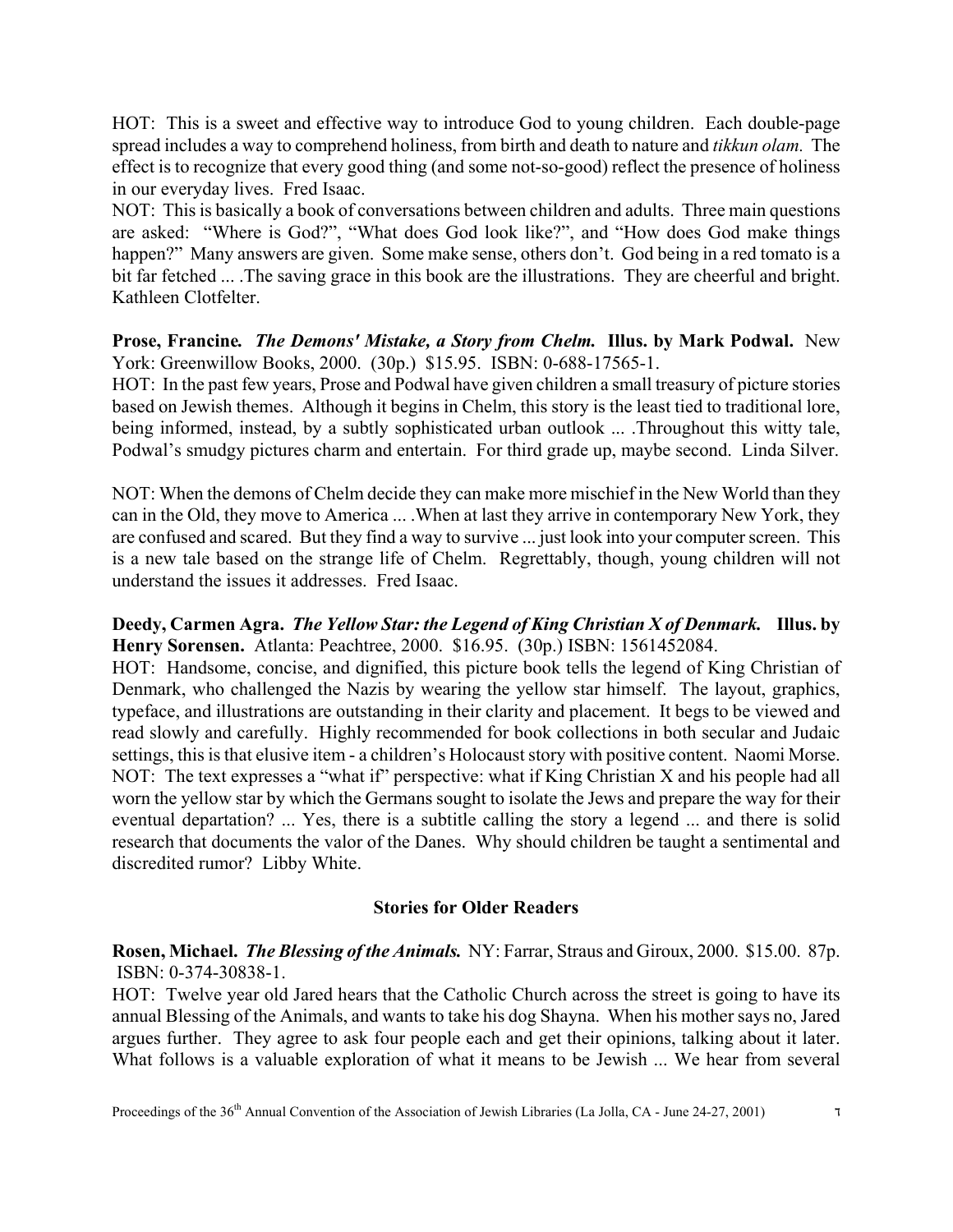HOT: This is a sweet and effective way to introduce God to young children. Each double-page spread includes a way to comprehend holiness, from birth and death to nature and *tikkun olam.* The effect is to recognize that every good thing (and some not-so-good) reflect the presence of holiness in our everyday lives. Fred Isaac.

NOT: This is basically a book of conversations between children and adults. Three main questions are asked: "Where is God?", "What does God look like?", and "How does God make things happen?" Many answers are given. Some make sense, others don't. God being in a red tomato is a bit far fetched ... .The saving grace in this book are the illustrations. They are cheerful and bright. Kathleen Clotfelter.

## **Prose, Francine***. The Demons' Mistake, a Story from Chelm.* **Illus. by Mark Podwal.** New York: Greenwillow Books, 2000. (30p.) \$15.95. ISBN: 0-688-17565-1.

HOT: In the past few years, Prose and Podwal have given children a small treasury of picture stories based on Jewish themes. Although it begins in Chelm, this story is the least tied to traditional lore, being informed, instead, by a subtly sophisticated urban outlook ... .Throughout this witty tale, Podwal's smudgy pictures charm and entertain. For third grade up, maybe second. Linda Silver.

NOT: When the demons of Chelm decide they can make more mischief in the New World than they can in the Old, they move to America ... .When at last they arrive in contemporary New York, they are confused and scared. But they find a way to survive ... just look into your computer screen. This is a new tale based on the strange life of Chelm. Regrettably, though, young children will not understand the issues it addresses. Fred Isaac.

**Deedy, Carmen Agra.** *The Yellow Star: the Legend of King Christian X of Denmark.* **Illus. by Henry Sorensen.** Atlanta: Peachtree, 2000. \$16.95. (30p.) ISBN: 1561452084.

HOT: Handsome, concise, and dignified, this picture book tells the legend of King Christian of Denmark, who challenged the Nazis by wearing the yellow star himself. The layout, graphics, typeface, and illustrations are outstanding in their clarity and placement. It begs to be viewed and read slowly and carefully. Highly recommended for book collections in both secular and Judaic settings, this is that elusive item - a children's Holocaust story with positive content. Naomi Morse. NOT: The text expresses a "what if" perspective: what if King Christian X and his people had all worn the yellow star by which the Germans sought to isolate the Jews and prepare the way for their eventual departation? ... Yes, there is a subtitle calling the story a legend ... and there is solid research that documents the valor of the Danes. Why should children be taught a sentimental and discredited rumor? Libby White.

## **Stories for Older Readers**

**Rosen, Michael.** *The Blessing of the Animals.* NY: Farrar, Straus and Giroux, 2000. \$15.00. 87p. ISBN: 0-374-30838-1.

HOT: Twelve year old Jared hears that the Catholic Church across the street is going to have its annual Blessing of the Animals, and wants to take his dog Shayna. When his mother says no, Jared argues further. They agree to ask four people each and get their opinions, talking about it later. What follows is a valuable exploration of what it means to be Jewish ... We hear from several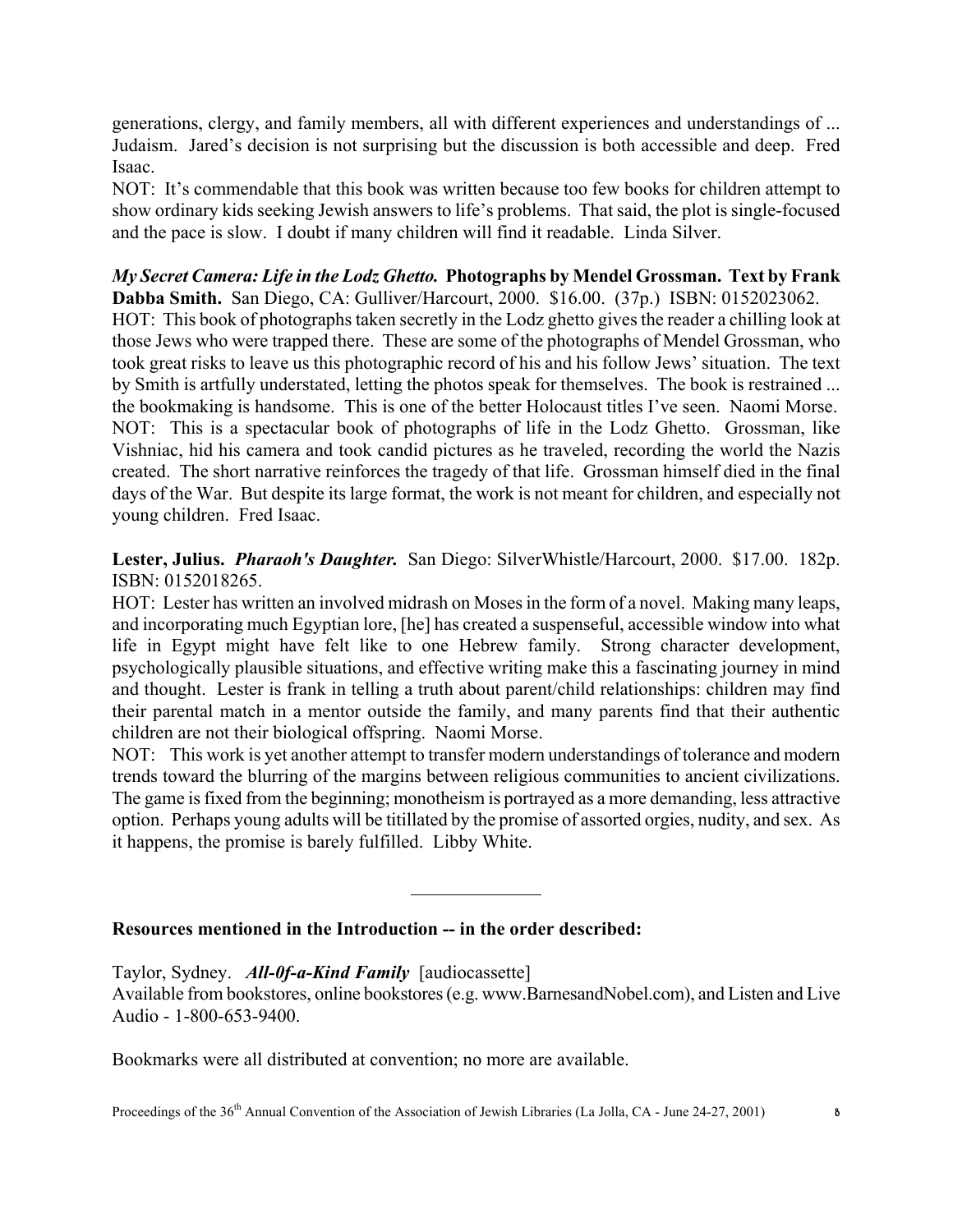generations, clergy, and family members, all with different experiences and understandings of ... Judaism. Jared's decision is not surprising but the discussion is both accessible and deep. Fred Isaac.

NOT: It's commendable that this book was written because too few books for children attempt to show ordinary kids seeking Jewish answers to life's problems. That said, the plot is single-focused and the pace is slow. I doubt if many children will find it readable. Linda Silver.

*My Secret Camera: Life in the Lodz Ghetto.* **Photographs by Mendel Grossman. Text by Frank Dabba Smith.** San Diego, CA: Gulliver/Harcourt, 2000. \$16.00. (37p.) ISBN: 0152023062. HOT: This book of photographs taken secretly in the Lodz ghetto gives the reader a chilling look at those Jews who were trapped there. These are some of the photographs of Mendel Grossman, who took great risks to leave us this photographic record of his and his follow Jews' situation. The text by Smith is artfully understated, letting the photos speak for themselves. The book is restrained ... the bookmaking is handsome. This is one of the better Holocaust titles I've seen. Naomi Morse. NOT: This is a spectacular book of photographs of life in the Lodz Ghetto. Grossman, like Vishniac, hid his camera and took candid pictures as he traveled, recording the world the Nazis created. The short narrative reinforces the tragedy of that life. Grossman himself died in the final days of the War. But despite its large format, the work is not meant for children, and especially not young children. Fred Isaac.

**Lester, Julius.** *Pharaoh's Daughter.* San Diego: SilverWhistle/Harcourt, 2000. \$17.00. 182p. ISBN: 0152018265.

HOT: Lester has written an involved midrash on Moses in the form of a novel. Making many leaps, and incorporating much Egyptian lore, [he] has created a suspenseful, accessible window into what life in Egypt might have felt like to one Hebrew family. Strong character development, psychologically plausible situations, and effective writing make this a fascinating journey in mind and thought. Lester is frank in telling a truth about parent/child relationships: children may find their parental match in a mentor outside the family, and many parents find that their authentic children are not their biological offspring. Naomi Morse.

NOT: This work is yet another attempt to transfer modern understandings of tolerance and modern trends toward the blurring of the margins between religious communities to ancient civilizations. The game is fixed from the beginning; monotheism is portrayed as a more demanding, less attractive option. Perhaps young adults will be titillated by the promise of assorted orgies, nudity, and sex. As it happens, the promise is barely fulfilled. Libby White.

 $\frac{1}{2}$ 

## **Resources mentioned in the Introduction -- in the order described:**

Taylor, Sydney. *All-0f-a-Kind Family* [audiocassette]

Available from bookstores, online bookstores (e.g. www.BarnesandNobel.com), and Listen and Live Audio - 1-800-653-9400.

Bookmarks were all distributed at convention; no more are available.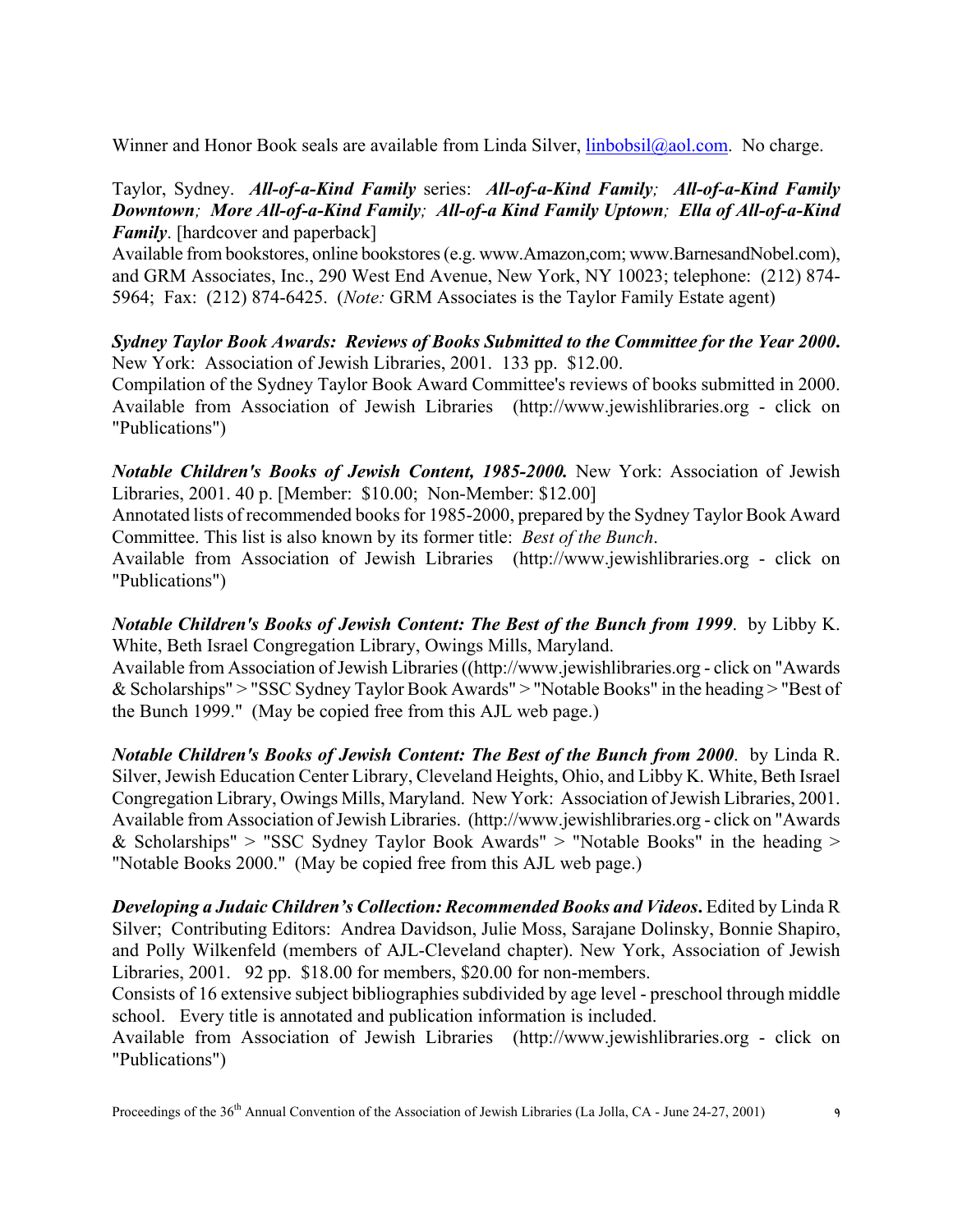Winner and Honor Book seals are available from Linda Silver, *linbobsil@aol.com*. No charge.

## Taylor, Sydney. *All-of-a-Kind Family* series: *All-of-a-Kind Family; All-of-a-Kind Family Downtown; More All-of-a-Kind Family; All-of-a Kind Family Uptown; Ella of All-of-a-Kind Family*. [hardcover and paperback]

Available from bookstores, online bookstores (e.g. www.Amazon,com; www.BarnesandNobel.com), and GRM Associates, Inc., 290 West End Avenue, New York, NY 10023; telephone: (212) 874- 5964; Fax: (212) 874-6425. (*Note:* GRM Associates is the Taylor Family Estate agent)

# *Sydney Taylor Book Awards: Reviews of Books Submitted to the Committee for the Year 2000***.** New York: Association of Jewish Libraries, 2001. 133 pp. \$12.00.

Compilation of the Sydney Taylor Book Award Committee's reviews of books submitted in 2000. Available from Association of Jewish Libraries (http://www.jewishlibraries.org - click on "Publications")

*Notable Children's Books of Jewish Content, 1985-2000.* New York: Association of Jewish Libraries, 2001. 40 p. [Member: \$10.00; Non-Member: \$12.00]

Annotated lists of recommended books for 1985-2000, prepared by the Sydney Taylor Book Award Committee. This list is also known by its former title: *Best of the Bunch*.

Available from Association of Jewish Libraries (http://www.jewishlibraries.org - click on "Publications")

*Notable Children's Books of Jewish Content: The Best of the Bunch from 1999*. by Libby K. White, Beth Israel Congregation Library, Owings Mills, Maryland.

Available from Association of Jewish Libraries ((http://www.jewishlibraries.org - click on "Awards & Scholarships" > "SSC Sydney Taylor Book Awards" > "Notable Books" in the heading > "Best of the Bunch 1999." (May be copied free from this AJL web page.)

*Notable Children's Books of Jewish Content: The Best of the Bunch from 2000*. by Linda R. Silver, Jewish Education Center Library, Cleveland Heights, Ohio, and Libby K. White, Beth Israel Congregation Library, Owings Mills, Maryland. New York: Association of Jewish Libraries, 2001. Available from Association of Jewish Libraries. (http://www.jewishlibraries.org - click on "Awards & Scholarships" > "SSC Sydney Taylor Book Awards" > "Notable Books" in the heading > "Notable Books 2000." (May be copied free from this AJL web page.)

*Developing a Judaic Children's Collection: Recommended Books and Videos***.** Edited by Linda R Silver; Contributing Editors: Andrea Davidson, Julie Moss, Sarajane Dolinsky, Bonnie Shapiro, and Polly Wilkenfeld (members of AJL-Cleveland chapter). New York, Association of Jewish Libraries, 2001. 92 pp. \$18.00 for members, \$20.00 for non-members.

Consists of 16 extensive subject bibliographies subdivided by age level - preschool through middle school. Every title is annotated and publication information is included.

Available from Association of Jewish Libraries (http://www.jewishlibraries.org - click on "Publications")